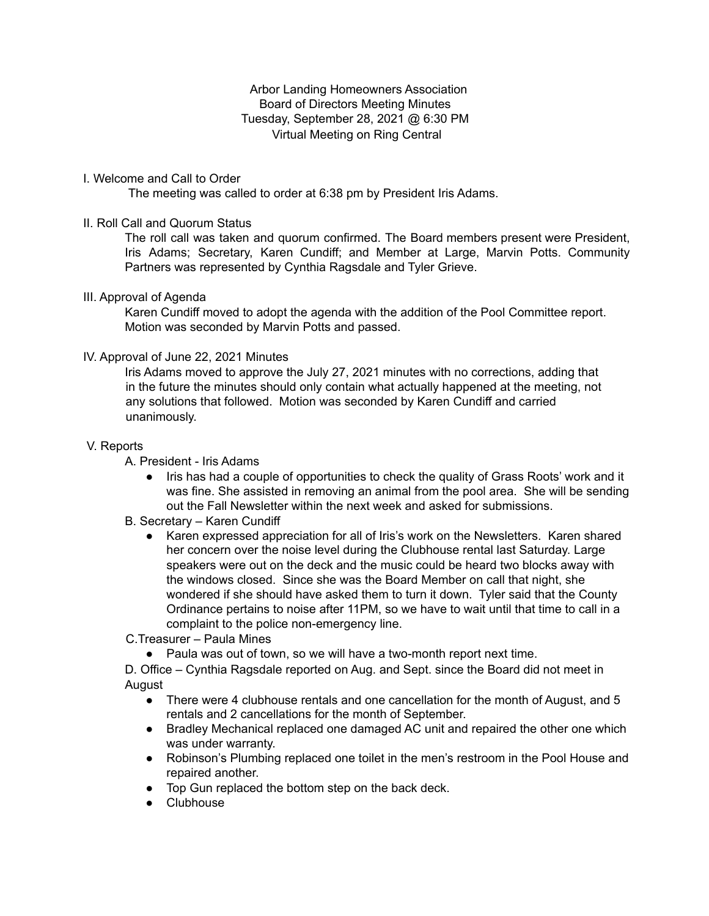Arbor Landing Homeowners Association Board of Directors Meeting Minutes Tuesday, September 28, 2021 @ 6:30 PM Virtual Meeting on Ring Central

#### I. Welcome and Call to Order

The meeting was called to order at 6:38 pm by President Iris Adams.

#### II. Roll Call and Quorum Status

The roll call was taken and quorum confirmed. The Board members present were President, Iris Adams; Secretary, Karen Cundiff; and Member at Large, Marvin Potts. Community Partners was represented by Cynthia Ragsdale and Tyler Grieve.

#### III. Approval of Agenda

Karen Cundiff moved to adopt the agenda with the addition of the Pool Committee report. Motion was seconded by Marvin Potts and passed.

# IV. Approval of June 22, 2021 Minutes

Iris Adams moved to approve the July 27, 2021 minutes with no corrections, adding that in the future the minutes should only contain what actually happened at the meeting, not any solutions that followed. Motion was seconded by Karen Cundiff and carried unanimously.

#### V. Reports

A. President - Iris Adams

Iris has had a couple of opportunities to check the quality of Grass Roots' work and it was fine. She assisted in removing an animal from the pool area. She will be sending out the Fall Newsletter within the next week and asked for submissions.

# B. Secretary – Karen Cundiff

● Karen expressed appreciation for all of Iris's work on the Newsletters. Karen shared her concern over the noise level during the Clubhouse rental last Saturday. Large speakers were out on the deck and the music could be heard two blocks away with the windows closed. Since she was the Board Member on call that night, she wondered if she should have asked them to turn it down. Tyler said that the County Ordinance pertains to noise after 11PM, so we have to wait until that time to call in a complaint to the police non-emergency line.

C.Treasurer – Paula Mines

● Paula was out of town, so we will have a two-month report next time.

D. Office – Cynthia Ragsdale reported on Aug. and Sept. since the Board did not meet in August

- There were 4 clubhouse rentals and one cancellation for the month of August, and 5 rentals and 2 cancellations for the month of September.
- Bradley Mechanical replaced one damaged AC unit and repaired the other one which was under warranty.
- Robinson's Plumbing replaced one toilet in the men's restroom in the Pool House and repaired another.
- Top Gun replaced the bottom step on the back deck.
- Clubhouse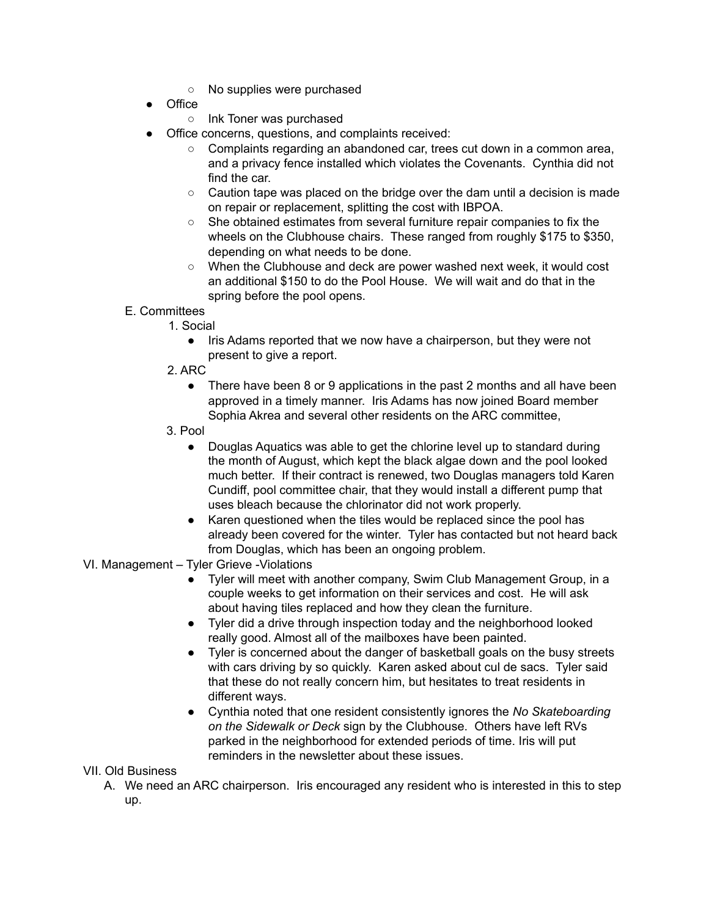- No supplies were purchased
- Office
	- Ink Toner was purchased
- Office concerns, questions, and complaints received:
	- Complaints regarding an abandoned car, trees cut down in a common area, and a privacy fence installed which violates the Covenants. Cynthia did not find the car.
	- $\circ$  Caution tape was placed on the bridge over the dam until a decision is made on repair or replacement, splitting the cost with IBPOA.
	- She obtained estimates from several furniture repair companies to fix the wheels on the Clubhouse chairs. These ranged from roughly \$175 to \$350, depending on what needs to be done.
	- When the Clubhouse and deck are power washed next week, it would cost an additional \$150 to do the Pool House. We will wait and do that in the spring before the pool opens.
- E. Committees
	- 1. Social
		- Iris Adams reported that we now have a chairperson, but they were not present to give a report.
	- 2. ARC
		- There have been 8 or 9 applications in the past 2 months and all have been approved in a timely manner. Iris Adams has now joined Board member Sophia Akrea and several other residents on the ARC committee,
	- 3. Pool
		- Douglas Aquatics was able to get the chlorine level up to standard during the month of August, which kept the black algae down and the pool looked much better. If their contract is renewed, two Douglas managers told Karen Cundiff, pool committee chair, that they would install a different pump that uses bleach because the chlorinator did not work properly.
		- Karen questioned when the tiles would be replaced since the pool has already been covered for the winter. Tyler has contacted but not heard back from Douglas, which has been an ongoing problem.

#### VI. Management – Tyler Grieve -Violations

- Tyler will meet with another company, Swim Club Management Group, in a couple weeks to get information on their services and cost. He will ask about having tiles replaced and how they clean the furniture.
- Tyler did a drive through inspection today and the neighborhood looked really good. Almost all of the mailboxes have been painted.
- Tyler is concerned about the danger of basketball goals on the busy streets with cars driving by so quickly. Karen asked about cul de sacs. Tyler said that these do not really concern him, but hesitates to treat residents in different ways.
- Cynthia noted that one resident consistently ignores the *No Skateboarding on the Sidewalk or Deck* sign by the Clubhouse. Others have left RVs parked in the neighborhood for extended periods of time. Iris will put reminders in the newsletter about these issues.

#### VII. Old Business

A. We need an ARC chairperson. Iris encouraged any resident who is interested in this to step up.